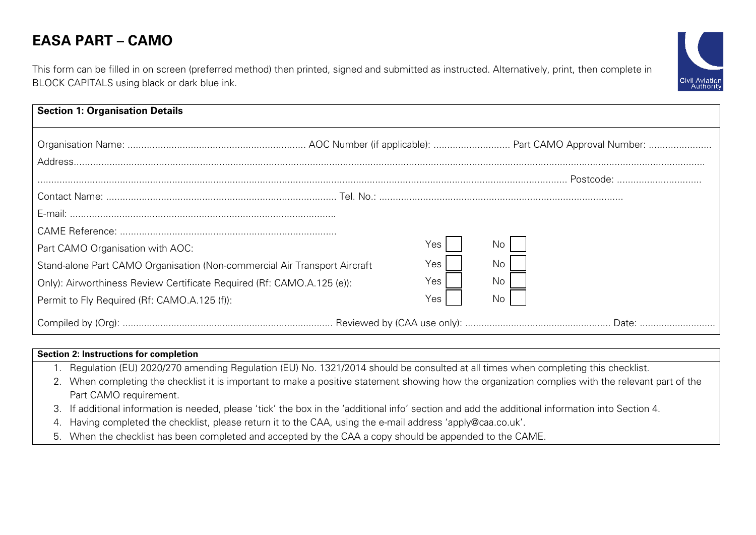## **EASA PART – CAMO**

Civil Aviation<br>Authority

This form can be filled in on screen (preferred method) then printed, signed and submitted as instructed. Alternatively, print, then complete in BLOCK CAPITALS using black or dark blue ink.

| <b>Section 1: Organisation Details</b>                                                                                                                                                                                                  |                                   |                 |  |
|-----------------------------------------------------------------------------------------------------------------------------------------------------------------------------------------------------------------------------------------|-----------------------------------|-----------------|--|
|                                                                                                                                                                                                                                         |                                   |                 |  |
| Part CAMO Organisation with AOC:<br>Stand-alone Part CAMO Organisation (Non-commercial Air Transport Aircraft<br>Only): Airworthiness Review Certificate Required (Rf: CAMO.A.125 (e)):<br>Permit to Fly Required (Rf: CAMO.A.125 (f)): | No.<br>Yes I<br>Yes<br>Yes<br>Yes | No.<br>No<br>No |  |
|                                                                                                                                                                                                                                         |                                   |                 |  |

## **Section 2: Instructions for completion**

- 1. Regulation (EU) 2020/270 amending Regulation (EU) No. 1321/2014 should be consulted at all times when completing this checklist.
- 2. When completing the checklist it is important to make a positive statement showing how the organization complies with the relevant part of the Part CAMO requirement.
- 3. If additional information is needed, please 'tick' the box in the 'additional info' section and add the additional information into Section 4.
- 4. Having completed the checklist, please return it to the CAA, using the e-mail address 'apply@caa.co.uk'.
- 5. When the checklist has been completed and accepted by the CAA a copy should be appended to the CAME.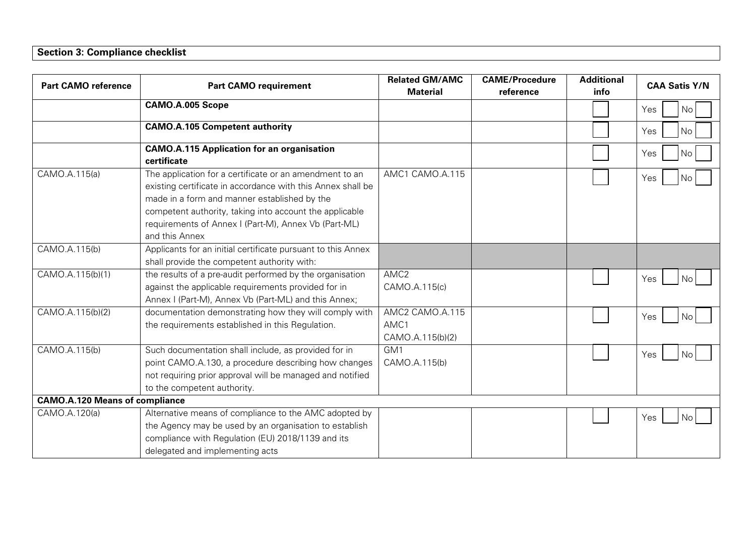## **Section 3: Compliance checklist**

| <b>Part CAMO reference</b>            | <b>Part CAMO requirement</b>                                                                                                                                                                                                                                                                                | <b>Related GM/AMC</b><br><b>Material</b>    | <b>CAME/Procedure</b><br>reference | <b>Additional</b><br>info | <b>CAA Satis Y/N</b> |
|---------------------------------------|-------------------------------------------------------------------------------------------------------------------------------------------------------------------------------------------------------------------------------------------------------------------------------------------------------------|---------------------------------------------|------------------------------------|---------------------------|----------------------|
|                                       | <b>CAMO.A.005 Scope</b>                                                                                                                                                                                                                                                                                     |                                             |                                    |                           | Yes<br>No            |
|                                       | <b>CAMO.A.105 Competent authority</b>                                                                                                                                                                                                                                                                       |                                             |                                    |                           | Yes<br>No            |
|                                       | <b>CAMO.A.115 Application for an organisation</b><br>certificate                                                                                                                                                                                                                                            |                                             |                                    |                           | Yes<br>No            |
| CAMO.A.115(a)                         | The application for a certificate or an amendment to an<br>existing certificate in accordance with this Annex shall be<br>made in a form and manner established by the<br>competent authority, taking into account the applicable<br>requirements of Annex I (Part-M), Annex Vb (Part-ML)<br>and this Annex | AMC1 CAMO.A.115                             |                                    |                           | Yes<br>No.           |
| CAMO.A.115(b)                         | Applicants for an initial certificate pursuant to this Annex<br>shall provide the competent authority with:                                                                                                                                                                                                 |                                             |                                    |                           |                      |
| CAMO.A.115(b)(1)                      | the results of a pre-audit performed by the organisation<br>against the applicable requirements provided for in<br>Annex I (Part-M), Annex Vb (Part-ML) and this Annex;                                                                                                                                     | AMC <sub>2</sub><br>CAMO.A.115(c)           |                                    |                           | Yes<br><b>No</b>     |
| CAMO.A.115(b)(2)                      | documentation demonstrating how they will comply with<br>the requirements established in this Regulation.                                                                                                                                                                                                   | AMC2 CAMO.A.115<br>AMC1<br>CAMO.A.115(b)(2) |                                    |                           | Yes<br>No            |
| CAMO.A.115(b)                         | Such documentation shall include, as provided for in<br>point CAMO.A.130, a procedure describing how changes<br>not requiring prior approval will be managed and notified<br>to the competent authority.                                                                                                    | GM <sub>1</sub><br>CAMO.A.115(b)            |                                    |                           | Yes<br>No            |
| <b>CAMO.A.120 Means of compliance</b> |                                                                                                                                                                                                                                                                                                             |                                             |                                    |                           |                      |
| CAMO.A.120(a)                         | Alternative means of compliance to the AMC adopted by<br>the Agency may be used by an organisation to establish<br>compliance with Regulation (EU) 2018/1139 and its<br>delegated and implementing acts                                                                                                     |                                             |                                    |                           | Yes<br><b>No</b>     |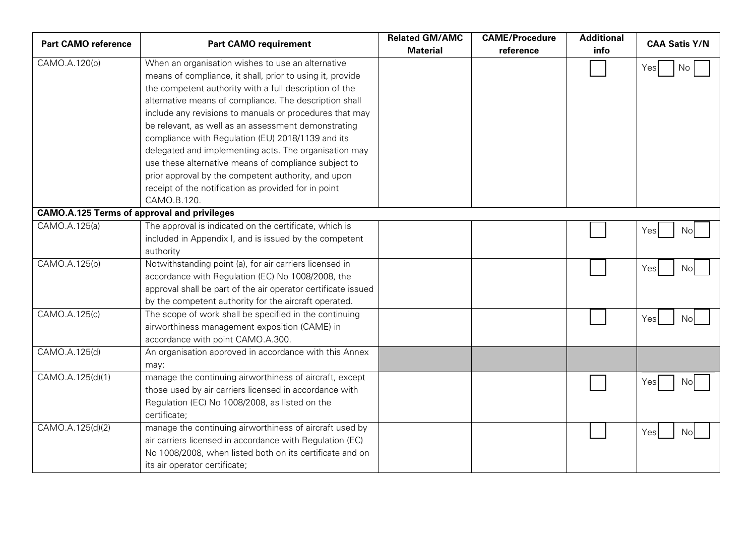| <b>Part CAMO reference</b>                         | <b>Part CAMO requirement</b>                                  | <b>Related GM/AMC</b> | <b>CAME/Procedure</b> | <b>Additional</b> | <b>CAA Satis Y/N</b> |
|----------------------------------------------------|---------------------------------------------------------------|-----------------------|-----------------------|-------------------|----------------------|
|                                                    |                                                               | <b>Material</b>       | reference             | info              |                      |
| CAMO.A.120(b)                                      | When an organisation wishes to use an alternative             |                       |                       |                   | Yes<br>No            |
|                                                    | means of compliance, it shall, prior to using it, provide     |                       |                       |                   |                      |
|                                                    | the competent authority with a full description of the        |                       |                       |                   |                      |
|                                                    | alternative means of compliance. The description shall        |                       |                       |                   |                      |
|                                                    | include any revisions to manuals or procedures that may       |                       |                       |                   |                      |
|                                                    | be relevant, as well as an assessment demonstrating           |                       |                       |                   |                      |
|                                                    | compliance with Regulation (EU) 2018/1139 and its             |                       |                       |                   |                      |
|                                                    | delegated and implementing acts. The organisation may         |                       |                       |                   |                      |
|                                                    | use these alternative means of compliance subject to          |                       |                       |                   |                      |
|                                                    | prior approval by the competent authority, and upon           |                       |                       |                   |                      |
|                                                    | receipt of the notification as provided for in point          |                       |                       |                   |                      |
|                                                    | CAMO.B.120.                                                   |                       |                       |                   |                      |
| <b>CAMO.A.125 Terms of approval and privileges</b> |                                                               |                       |                       |                   |                      |
| CAMO.A.125(a)                                      | The approval is indicated on the certificate, which is        |                       |                       |                   | Yes<br>Nol           |
|                                                    | included in Appendix I, and is issued by the competent        |                       |                       |                   |                      |
|                                                    | authority                                                     |                       |                       |                   |                      |
| CAMO.A.125(b)                                      | Notwithstanding point (a), for air carriers licensed in       |                       |                       |                   | Yes<br>Nol           |
|                                                    | accordance with Regulation (EC) No 1008/2008, the             |                       |                       |                   |                      |
|                                                    | approval shall be part of the air operator certificate issued |                       |                       |                   |                      |
|                                                    | by the competent authority for the aircraft operated.         |                       |                       |                   |                      |
| CAMO.A.125(c)                                      | The scope of work shall be specified in the continuing        |                       |                       |                   | Yes<br>Nol           |
|                                                    | airworthiness management exposition (CAME) in                 |                       |                       |                   |                      |
|                                                    | accordance with point CAMO.A.300.                             |                       |                       |                   |                      |
| CAMO.A.125(d)                                      | An organisation approved in accordance with this Annex        |                       |                       |                   |                      |
|                                                    | may:                                                          |                       |                       |                   |                      |
| CAMO.A.125(d)(1)                                   | manage the continuing airworthiness of aircraft, except       |                       |                       |                   | Yesl<br>Nol          |
|                                                    | those used by air carriers licensed in accordance with        |                       |                       |                   |                      |
|                                                    | Regulation (EC) No 1008/2008, as listed on the                |                       |                       |                   |                      |
|                                                    | certificate;                                                  |                       |                       |                   |                      |
| CAMO.A.125(d)(2)                                   | manage the continuing airworthiness of aircraft used by       |                       |                       |                   | Yes<br>Nol           |
|                                                    | air carriers licensed in accordance with Regulation (EC)      |                       |                       |                   |                      |
|                                                    | No 1008/2008, when listed both on its certificate and on      |                       |                       |                   |                      |
|                                                    | its air operator certificate;                                 |                       |                       |                   |                      |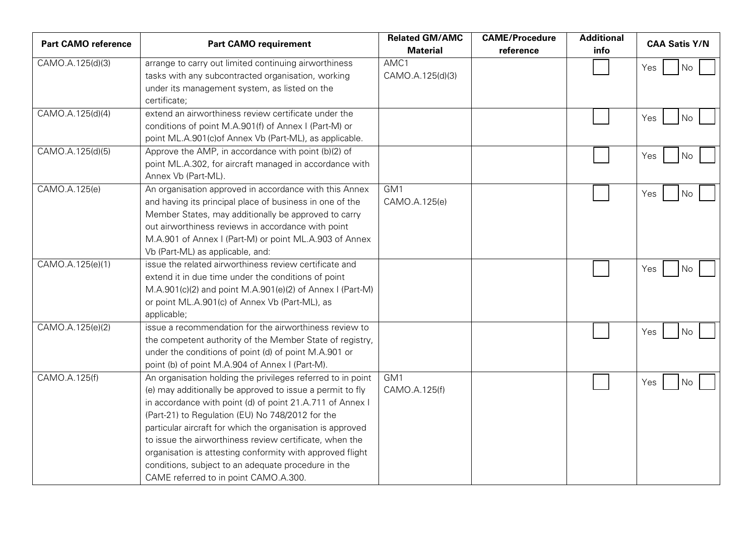| <b>Material</b><br>reference<br>info                                                     |     |
|------------------------------------------------------------------------------------------|-----|
|                                                                                          |     |
| AMC1<br>CAMO.A.125(d)(3)<br>arrange to carry out limited continuing airworthiness<br>Yes | No  |
| tasks with any subcontracted organisation, working<br>CAMO.A.125(d)(3)                   |     |
| under its management system, as listed on the                                            |     |
| certificate;                                                                             |     |
| CAMO.A.125(d)(4)<br>extend an airworthiness review certificate under the<br>Yes          | No. |
| conditions of point M.A.901(f) of Annex I (Part-M) or                                    |     |
| point ML.A.901(c) of Annex Vb (Part-ML), as applicable.                                  |     |
| CAMO.A.125(d)(5)<br>Approve the AMP, in accordance with point (b)(2) of<br>Yes           | No  |
| point ML.A.302, for aircraft managed in accordance with                                  |     |
| Annex Vb (Part-ML).                                                                      |     |
| CAMO.A.125(e)<br>An organisation approved in accordance with this Annex<br>GM1<br>Yes    | No. |
| and having its principal place of business in one of the<br>CAMO.A.125(e)                |     |
| Member States, may additionally be approved to carry                                     |     |
| out airworthiness reviews in accordance with point                                       |     |
| M.A.901 of Annex I (Part-M) or point ML.A.903 of Annex                                   |     |
| Vb (Part-ML) as applicable, and:                                                         |     |
| CAMO.A.125(e)(1)<br>issue the related airworthiness review certificate and<br>Yes        | No  |
| extend it in due time under the conditions of point                                      |     |
| M.A.901(c)(2) and point M.A.901(e)(2) of Annex I (Part-M)                                |     |
| or point ML.A.901(c) of Annex Vb (Part-ML), as                                           |     |
| applicable;                                                                              |     |
| CAMO.A.125(e)(2)<br>issue a recommendation for the airworthiness review to<br>Yes        | No  |
| the competent authority of the Member State of registry,                                 |     |
| under the conditions of point (d) of point M.A.901 or                                    |     |
| point (b) of point M.A.904 of Annex I (Part-M).                                          |     |
| CAMO.A.125(f)<br>GM1<br>An organisation holding the privileges referred to in point      |     |
| Yes<br>CAMO.A.125(f)<br>(e) may additionally be approved to issue a permit to fly        | No. |
| in accordance with point (d) of point 21.A.711 of Annex I                                |     |
| (Part-21) to Regulation (EU) No 748/2012 for the                                         |     |
| particular aircraft for which the organisation is approved                               |     |
| to issue the airworthiness review certificate, when the                                  |     |
| organisation is attesting conformity with approved flight                                |     |
| conditions, subject to an adequate procedure in the                                      |     |
| CAME referred to in point CAMO.A.300.                                                    |     |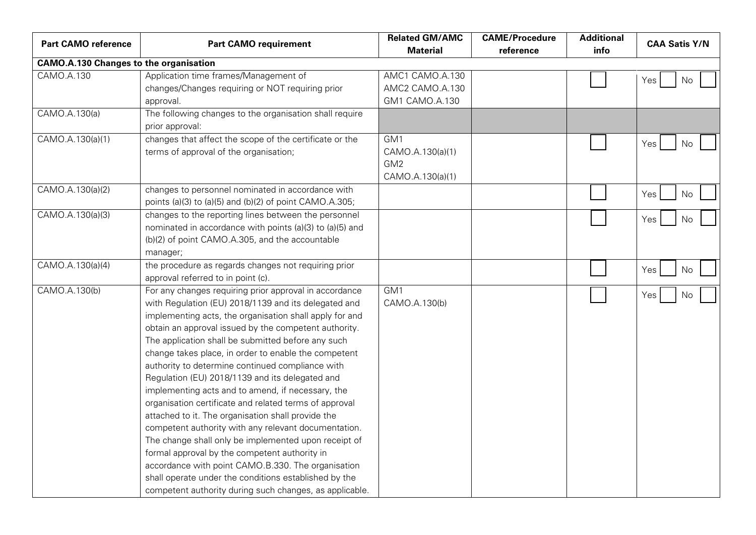| <b>Part CAMO reference</b>                    | <b>Part CAMO requirement</b>                                                                                                                                                                                                                                                                                                                                                                                                                                                                                                                                                                                                                                                                                                                                                                                                                                                                                                                                            | <b>Related GM/AMC</b><br><b>Material</b>                       | <b>CAME/Procedure</b><br>reference | <b>Additional</b><br>info | <b>CAA Satis Y/N</b> |
|-----------------------------------------------|-------------------------------------------------------------------------------------------------------------------------------------------------------------------------------------------------------------------------------------------------------------------------------------------------------------------------------------------------------------------------------------------------------------------------------------------------------------------------------------------------------------------------------------------------------------------------------------------------------------------------------------------------------------------------------------------------------------------------------------------------------------------------------------------------------------------------------------------------------------------------------------------------------------------------------------------------------------------------|----------------------------------------------------------------|------------------------------------|---------------------------|----------------------|
| <b>CAMO.A.130 Changes to the organisation</b> |                                                                                                                                                                                                                                                                                                                                                                                                                                                                                                                                                                                                                                                                                                                                                                                                                                                                                                                                                                         |                                                                |                                    |                           |                      |
| CAMO.A.130                                    | Application time frames/Management of                                                                                                                                                                                                                                                                                                                                                                                                                                                                                                                                                                                                                                                                                                                                                                                                                                                                                                                                   | AMC1 CAMO.A.130                                                |                                    |                           | Yes<br>No.           |
|                                               | changes/Changes requiring or NOT requiring prior                                                                                                                                                                                                                                                                                                                                                                                                                                                                                                                                                                                                                                                                                                                                                                                                                                                                                                                        | AMC2 CAMO.A.130                                                |                                    |                           |                      |
|                                               | approval.                                                                                                                                                                                                                                                                                                                                                                                                                                                                                                                                                                                                                                                                                                                                                                                                                                                                                                                                                               | GM1 CAMO.A.130                                                 |                                    |                           |                      |
| CAMO.A.130(a)                                 | The following changes to the organisation shall require<br>prior approval:                                                                                                                                                                                                                                                                                                                                                                                                                                                                                                                                                                                                                                                                                                                                                                                                                                                                                              |                                                                |                                    |                           |                      |
| CAMO.A.130(a)(1)                              | changes that affect the scope of the certificate or the<br>terms of approval of the organisation;                                                                                                                                                                                                                                                                                                                                                                                                                                                                                                                                                                                                                                                                                                                                                                                                                                                                       | GM1<br>CAMO.A.130(a)(1)<br>GM <sub>2</sub><br>CAMO.A.130(a)(1) |                                    |                           | Yes<br>No            |
| CAMO.A.130(a)(2)                              | changes to personnel nominated in accordance with<br>points (a)(3) to (a)(5) and (b)(2) of point CAMO.A.305;                                                                                                                                                                                                                                                                                                                                                                                                                                                                                                                                                                                                                                                                                                                                                                                                                                                            |                                                                |                                    |                           | Yes<br>No            |
| CAMO.A.130(a)(3)                              | changes to the reporting lines between the personnel<br>nominated in accordance with points (a)(3) to (a)(5) and<br>(b)(2) of point CAMO.A.305, and the accountable<br>manager;                                                                                                                                                                                                                                                                                                                                                                                                                                                                                                                                                                                                                                                                                                                                                                                         |                                                                |                                    |                           | Yes<br>No            |
| CAMO.A.130(a)(4)                              | the procedure as regards changes not requiring prior<br>approval referred to in point (c).                                                                                                                                                                                                                                                                                                                                                                                                                                                                                                                                                                                                                                                                                                                                                                                                                                                                              |                                                                |                                    |                           | Yes<br>No            |
| CAMO.A.130(b)                                 | For any changes requiring prior approval in accordance<br>with Regulation (EU) 2018/1139 and its delegated and<br>implementing acts, the organisation shall apply for and<br>obtain an approval issued by the competent authority.<br>The application shall be submitted before any such<br>change takes place, in order to enable the competent<br>authority to determine continued compliance with<br>Regulation (EU) 2018/1139 and its delegated and<br>implementing acts and to amend, if necessary, the<br>organisation certificate and related terms of approval<br>attached to it. The organisation shall provide the<br>competent authority with any relevant documentation.<br>The change shall only be implemented upon receipt of<br>formal approval by the competent authority in<br>accordance with point CAMO.B.330. The organisation<br>shall operate under the conditions established by the<br>competent authority during such changes, as applicable. | GM <sub>1</sub><br>CAMO.A.130(b)                               |                                    |                           | Yes<br>No            |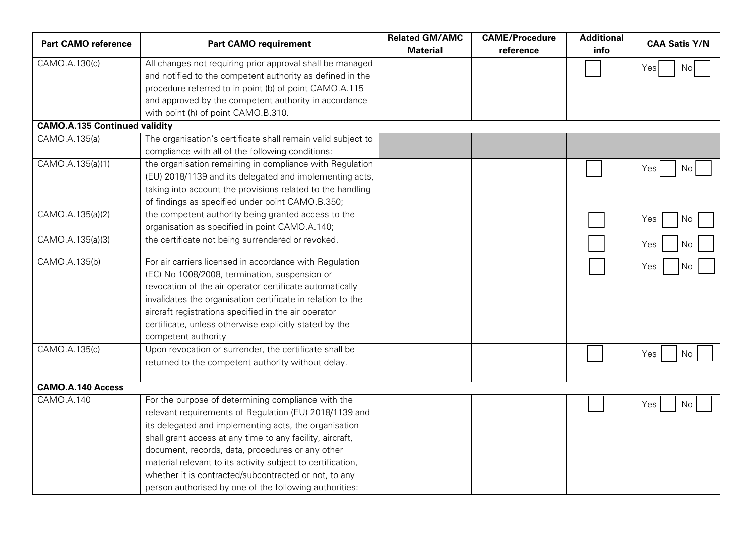| <b>Part CAMO reference</b>           | <b>Part CAMO requirement</b>                                                                                                                                                                                                                                                                                                                                                                                   | <b>Related GM/AMC</b><br><b>Material</b> | <b>CAME/Procedure</b><br>reference | <b>Additional</b><br>info | <b>CAA Satis Y/N</b> |
|--------------------------------------|----------------------------------------------------------------------------------------------------------------------------------------------------------------------------------------------------------------------------------------------------------------------------------------------------------------------------------------------------------------------------------------------------------------|------------------------------------------|------------------------------------|---------------------------|----------------------|
| CAMO.A.130(c)                        | All changes not requiring prior approval shall be managed<br>and notified to the competent authority as defined in the                                                                                                                                                                                                                                                                                         |                                          |                                    |                           | Yes<br>No            |
|                                      | procedure referred to in point (b) of point CAMO.A.115                                                                                                                                                                                                                                                                                                                                                         |                                          |                                    |                           |                      |
|                                      | and approved by the competent authority in accordance                                                                                                                                                                                                                                                                                                                                                          |                                          |                                    |                           |                      |
|                                      | with point (h) of point CAMO.B.310.                                                                                                                                                                                                                                                                                                                                                                            |                                          |                                    |                           |                      |
| <b>CAMO.A.135 Continued validity</b> |                                                                                                                                                                                                                                                                                                                                                                                                                |                                          |                                    |                           |                      |
| CAMO.A.135(a)                        | The organisation's certificate shall remain valid subject to<br>compliance with all of the following conditions:                                                                                                                                                                                                                                                                                               |                                          |                                    |                           |                      |
| CAMO.A.135(a)(1)                     | the organisation remaining in compliance with Regulation<br>(EU) 2018/1139 and its delegated and implementing acts,<br>taking into account the provisions related to the handling<br>of findings as specified under point CAMO.B.350;                                                                                                                                                                          |                                          |                                    |                           | Yes<br>No            |
| CAMO.A.135(a)(2)                     | the competent authority being granted access to the<br>organisation as specified in point CAMO.A.140;                                                                                                                                                                                                                                                                                                          |                                          |                                    |                           | Yes<br>No            |
| CAMO.A.135(a)(3)                     | the certificate not being surrendered or revoked.                                                                                                                                                                                                                                                                                                                                                              |                                          |                                    |                           | No<br>Yes            |
| CAMO.A.135(b)                        | For air carriers licensed in accordance with Regulation<br>(EC) No 1008/2008, termination, suspension or<br>revocation of the air operator certificate automatically<br>invalidates the organisation certificate in relation to the<br>aircraft registrations specified in the air operator<br>certificate, unless otherwise explicitly stated by the<br>competent authority                                   |                                          |                                    |                           | Yes<br>No            |
| CAMO.A.135(c)                        | Upon revocation or surrender, the certificate shall be<br>returned to the competent authority without delay.                                                                                                                                                                                                                                                                                                   |                                          |                                    |                           | Yes<br>No.           |
| <b>CAMO.A.140 Access</b>             |                                                                                                                                                                                                                                                                                                                                                                                                                |                                          |                                    |                           |                      |
| CAMO.A.140                           | For the purpose of determining compliance with the<br>relevant requirements of Regulation (EU) 2018/1139 and<br>its delegated and implementing acts, the organisation<br>shall grant access at any time to any facility, aircraft,<br>document, records, data, procedures or any other<br>material relevant to its activity subject to certification,<br>whether it is contracted/subcontracted or not, to any |                                          |                                    |                           | Yes<br>No.           |
|                                      | person authorised by one of the following authorities:                                                                                                                                                                                                                                                                                                                                                         |                                          |                                    |                           |                      |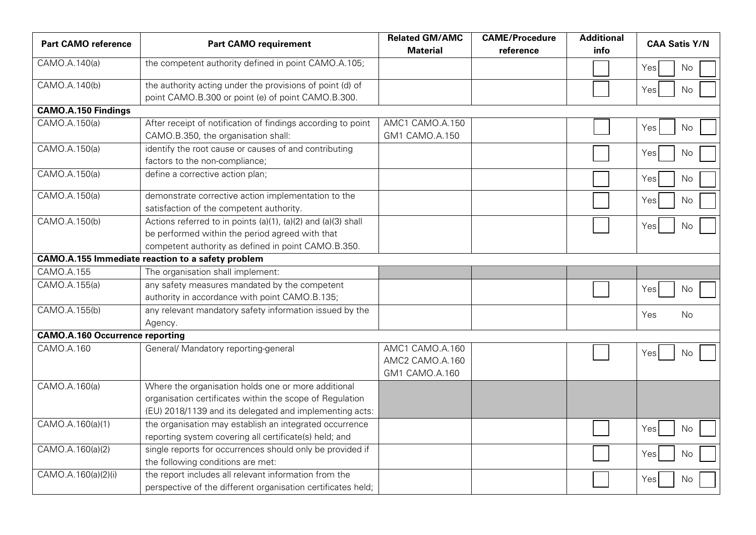| <b>Part CAMO reference</b>             | <b>Part CAMO requirement</b>                                                                                                                                               | <b>Related GM/AMC</b><br><b>Material</b>             | <b>CAME/Procedure</b><br>reference | <b>Additional</b><br>info | <b>CAA Satis Y/N</b> |
|----------------------------------------|----------------------------------------------------------------------------------------------------------------------------------------------------------------------------|------------------------------------------------------|------------------------------------|---------------------------|----------------------|
| CAMO.A.140(a)                          | the competent authority defined in point CAMO.A.105;                                                                                                                       |                                                      |                                    |                           | Yes<br>No            |
| CAMO.A.140(b)                          | the authority acting under the provisions of point (d) of<br>point CAMO.B.300 or point (e) of point CAMO.B.300.                                                            |                                                      |                                    |                           | No<br>Yes            |
| <b>CAMO.A.150 Findings</b>             |                                                                                                                                                                            |                                                      |                                    |                           |                      |
| CAMO.A.150(a)                          | After receipt of notification of findings according to point<br>CAMO.B.350, the organisation shall:                                                                        | AMC1 CAMO.A.150<br>GM1 CAMO.A.150                    |                                    |                           | No<br>Yes            |
| CAMO.A.150(a)                          | identify the root cause or causes of and contributing<br>factors to the non-compliance;                                                                                    |                                                      |                                    |                           | Yes<br>No            |
| CAMO.A.150(a)                          | define a corrective action plan;                                                                                                                                           |                                                      |                                    |                           | Yes<br>No.           |
| CAMO.A.150(a)                          | demonstrate corrective action implementation to the<br>satisfaction of the competent authority.                                                                            |                                                      |                                    |                           | Yes<br>No            |
| CAMO.A.150(b)                          | Actions referred to in points (a)(1), (a)(2) and (a)(3) shall<br>be performed within the period agreed with that<br>competent authority as defined in point CAMO.B.350.    |                                                      |                                    |                           | Yes<br>No            |
|                                        | <b>CAMO.A.155 Immediate reaction to a safety problem</b>                                                                                                                   |                                                      |                                    |                           |                      |
| CAMO.A.155                             | The organisation shall implement:                                                                                                                                          |                                                      |                                    |                           |                      |
| CAMO.A.155(a)                          | any safety measures mandated by the competent<br>authority in accordance with point CAMO.B.135;                                                                            |                                                      |                                    |                           | Yes<br>No            |
| CAMO.A.155(b)                          | any relevant mandatory safety information issued by the<br>Agency.                                                                                                         |                                                      |                                    |                           | Yes<br>No            |
| <b>CAMO.A.160 Occurrence reporting</b> |                                                                                                                                                                            |                                                      |                                    |                           |                      |
| CAMO.A.160                             | General/ Mandatory reporting-general                                                                                                                                       | AMC1 CAMO.A.160<br>AMC2 CAMO.A.160<br>GM1 CAMO.A.160 |                                    |                           | No<br>Yes            |
| CAMO.A.160(a)                          | Where the organisation holds one or more additional<br>organisation certificates within the scope of Regulation<br>(EU) 2018/1139 and its delegated and implementing acts: |                                                      |                                    |                           |                      |
| CAMO.A.160(a)(1)                       | the organisation may establish an integrated occurrence<br>reporting system covering all certificate(s) held; and                                                          |                                                      |                                    |                           | Yes<br>No            |
| CAMO.A.160(a)(2)                       | single reports for occurrences should only be provided if<br>the following conditions are met:                                                                             |                                                      |                                    |                           | Yes<br>No            |
| $\overline{CAM}$ O.A.160(a)(2)(i)      | the report includes all relevant information from the<br>perspective of the different organisation certificates held;                                                      |                                                      |                                    |                           | Yes<br>No            |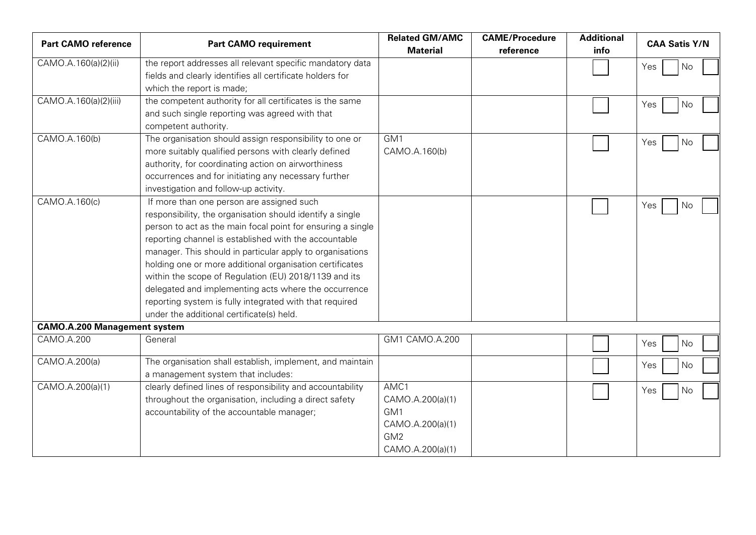| <b>Part CAMO reference</b>          | <b>Part CAMO requirement</b>                                                                                                                                                                                                                                                                                                                                                                                                                                                                                                                                                     | <b>Related GM/AMC</b><br><b>Material</b>                                                   | <b>CAME/Procedure</b><br>reference | <b>Additional</b><br>info | <b>CAA Satis Y/N</b> |
|-------------------------------------|----------------------------------------------------------------------------------------------------------------------------------------------------------------------------------------------------------------------------------------------------------------------------------------------------------------------------------------------------------------------------------------------------------------------------------------------------------------------------------------------------------------------------------------------------------------------------------|--------------------------------------------------------------------------------------------|------------------------------------|---------------------------|----------------------|
| CAMO.A.160(a)(2)(ii)                | the report addresses all relevant specific mandatory data<br>fields and clearly identifies all certificate holders for<br>which the report is made;                                                                                                                                                                                                                                                                                                                                                                                                                              |                                                                                            |                                    |                           | Yes<br>No            |
| CAMO.A.160(a)(2)(iii)               | the competent authority for all certificates is the same<br>and such single reporting was agreed with that<br>competent authority.                                                                                                                                                                                                                                                                                                                                                                                                                                               |                                                                                            |                                    |                           | Yes<br>No            |
| CAMO.A.160(b)                       | The organisation should assign responsibility to one or<br>more suitably qualified persons with clearly defined<br>authority, for coordinating action on airworthiness<br>occurrences and for initiating any necessary further<br>investigation and follow-up activity.                                                                                                                                                                                                                                                                                                          | GM <sub>1</sub><br>CAMO.A.160(b)                                                           |                                    |                           | Yes<br>No            |
| CAMO.A.160(c)                       | If more than one person are assigned such<br>responsibility, the organisation should identify a single<br>person to act as the main focal point for ensuring a single<br>reporting channel is established with the accountable<br>manager. This should in particular apply to organisations<br>holding one or more additional organisation certificates<br>within the scope of Regulation (EU) 2018/1139 and its<br>delegated and implementing acts where the occurrence<br>reporting system is fully integrated with that required<br>under the additional certificate(s) held. |                                                                                            |                                    |                           | Yes<br>No            |
| <b>CAMO.A.200 Management system</b> |                                                                                                                                                                                                                                                                                                                                                                                                                                                                                                                                                                                  |                                                                                            |                                    |                           |                      |
| CAMO.A.200                          | General                                                                                                                                                                                                                                                                                                                                                                                                                                                                                                                                                                          | GM1 CAMO.A.200                                                                             |                                    |                           | Yes<br>No            |
| CAMO.A.200(a)                       | The organisation shall establish, implement, and maintain<br>a management system that includes:                                                                                                                                                                                                                                                                                                                                                                                                                                                                                  |                                                                                            |                                    |                           | Yes<br>No            |
| CAMO.A.200(a)(1)                    | clearly defined lines of responsibility and accountability<br>throughout the organisation, including a direct safety<br>accountability of the accountable manager;                                                                                                                                                                                                                                                                                                                                                                                                               | AMC1<br>CAMO.A.200(a)(1)<br>GM1<br>CAMO.A.200(a)(1)<br>GM <sub>2</sub><br>CAMO.A.200(a)(1) |                                    |                           | Yes<br>No            |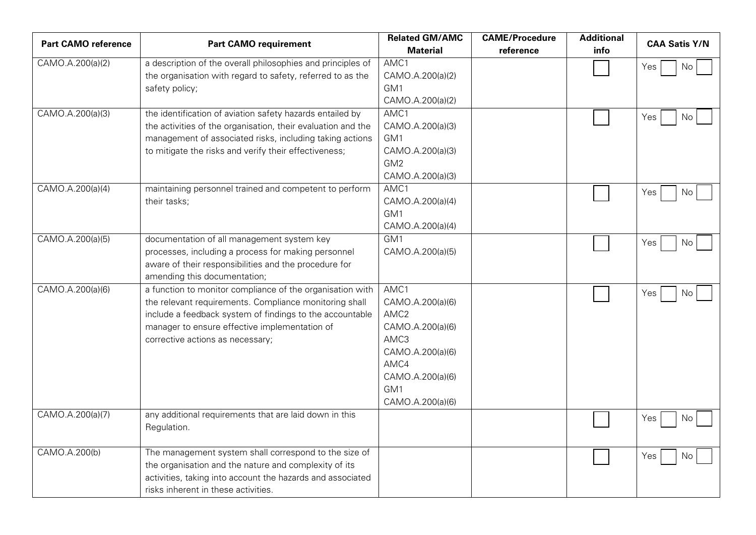| <b>Part CAMO reference</b> | <b>Part CAMO requirement</b>                                 | <b>Related GM/AMC</b><br><b>Material</b> | <b>CAME/Procedure</b><br>reference | <b>Additional</b><br>info | <b>CAA Satis Y/N</b> |
|----------------------------|--------------------------------------------------------------|------------------------------------------|------------------------------------|---------------------------|----------------------|
| CAMO.A.200(a)(2)           | a description of the overall philosophies and principles of  | AMC1                                     |                                    |                           |                      |
|                            | the organisation with regard to safety, referred to as the   | CAMO.A.200(a)(2)                         |                                    |                           | Yes<br>No.           |
|                            | safety policy;                                               | GM1                                      |                                    |                           |                      |
|                            |                                                              | CAMO.A.200(a)(2)                         |                                    |                           |                      |
| CAMO.A.200(a)(3)           | the identification of aviation safety hazards entailed by    | AMC1                                     |                                    |                           | Yes<br>No            |
|                            | the activities of the organisation, their evaluation and the | CAMO.A.200(a)(3)                         |                                    |                           |                      |
|                            | management of associated risks, including taking actions     | GM <sub>1</sub>                          |                                    |                           |                      |
|                            | to mitigate the risks and verify their effectiveness;        | CAMO.A.200(a)(3)                         |                                    |                           |                      |
|                            |                                                              | GM2                                      |                                    |                           |                      |
|                            |                                                              | CAMO.A.200(a)(3)                         |                                    |                           |                      |
| CAMO.A.200(a)(4)           | maintaining personnel trained and competent to perform       | AMC1                                     |                                    |                           | Yes<br>No.           |
|                            | their tasks;                                                 | CAMO.A.200(a)(4)                         |                                    |                           |                      |
|                            |                                                              | GM1                                      |                                    |                           |                      |
|                            |                                                              | CAMO.A.200(a)(4)                         |                                    |                           |                      |
| CAMO.A.200(a)(5)           | documentation of all management system key                   | GM1                                      |                                    |                           | Yes<br>No.           |
|                            | processes, including a process for making personnel          | CAMO.A.200(a)(5)                         |                                    |                           |                      |
|                            | aware of their responsibilities and the procedure for        |                                          |                                    |                           |                      |
|                            | amending this documentation;                                 |                                          |                                    |                           |                      |
| CAMO.A.200(a)(6)           | a function to monitor compliance of the organisation with    | AMC1                                     |                                    |                           | Yes<br>No.           |
|                            | the relevant requirements. Compliance monitoring shall       | CAMO.A.200(a)(6)                         |                                    |                           |                      |
|                            | include a feedback system of findings to the accountable     | AMC <sub>2</sub>                         |                                    |                           |                      |
|                            | manager to ensure effective implementation of                | CAMO.A.200(a)(6)                         |                                    |                           |                      |
|                            | corrective actions as necessary;                             | AMC3                                     |                                    |                           |                      |
|                            |                                                              | CAMO.A.200(a)(6)<br>AMC4                 |                                    |                           |                      |
|                            |                                                              | CAMO.A.200(a)(6)                         |                                    |                           |                      |
|                            |                                                              | GM1                                      |                                    |                           |                      |
|                            |                                                              | CAMO.A.200(a)(6)                         |                                    |                           |                      |
| CAMO.A.200(a)(7)           | any additional requirements that are laid down in this       |                                          |                                    |                           |                      |
|                            | Regulation.                                                  |                                          |                                    |                           | Yes<br>No.           |
|                            |                                                              |                                          |                                    |                           |                      |
| CAMO.A.200(b)              | The management system shall correspond to the size of        |                                          |                                    |                           | Yes<br>No.           |
|                            | the organisation and the nature and complexity of its        |                                          |                                    |                           |                      |
|                            | activities, taking into account the hazards and associated   |                                          |                                    |                           |                      |
|                            | risks inherent in these activities.                          |                                          |                                    |                           |                      |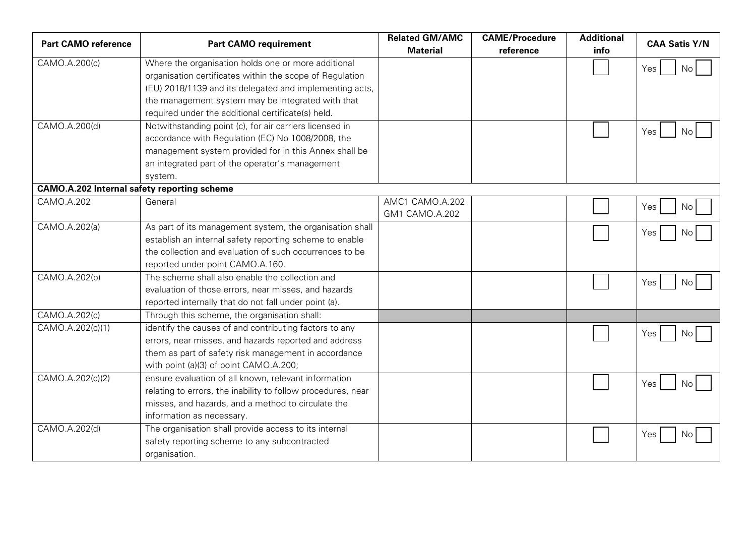| <b>Part CAMO reference</b>                         | <b>Part CAMO requirement</b>                                 | <b>Related GM/AMC</b><br><b>Material</b> | <b>CAME/Procedure</b><br>reference | <b>Additional</b><br>info | <b>CAA Satis Y/N</b> |
|----------------------------------------------------|--------------------------------------------------------------|------------------------------------------|------------------------------------|---------------------------|----------------------|
| CAMO.A.200(c)                                      | Where the organisation holds one or more additional          |                                          |                                    |                           | Yes<br>No.           |
|                                                    | organisation certificates within the scope of Regulation     |                                          |                                    |                           |                      |
|                                                    | (EU) 2018/1139 and its delegated and implementing acts,      |                                          |                                    |                           |                      |
|                                                    | the management system may be integrated with that            |                                          |                                    |                           |                      |
|                                                    | required under the additional certificate(s) held.           |                                          |                                    |                           |                      |
| CAMO.A.200(d)                                      | Notwithstanding point (c), for air carriers licensed in      |                                          |                                    |                           | Yes<br>No.           |
|                                                    | accordance with Regulation (EC) No 1008/2008, the            |                                          |                                    |                           |                      |
|                                                    | management system provided for in this Annex shall be        |                                          |                                    |                           |                      |
|                                                    | an integrated part of the operator's management              |                                          |                                    |                           |                      |
|                                                    | system.                                                      |                                          |                                    |                           |                      |
| <b>CAMO.A.202 Internal safety reporting scheme</b> |                                                              |                                          |                                    |                           |                      |
| CAMO.A.202                                         | General                                                      | AMC1 CAMO.A.202                          |                                    |                           | Yes<br>No            |
|                                                    |                                                              | GM1 CAMO.A.202                           |                                    |                           |                      |
| CAMO.A.202(a)                                      | As part of its management system, the organisation shall     |                                          |                                    |                           | Yes<br>No            |
|                                                    | establish an internal safety reporting scheme to enable      |                                          |                                    |                           |                      |
|                                                    | the collection and evaluation of such occurrences to be      |                                          |                                    |                           |                      |
|                                                    | reported under point CAMO.A.160.                             |                                          |                                    |                           |                      |
| CAMO.A.202(b)                                      | The scheme shall also enable the collection and              |                                          |                                    |                           | Yes<br>No            |
|                                                    | evaluation of those errors, near misses, and hazards         |                                          |                                    |                           |                      |
|                                                    | reported internally that do not fall under point (a).        |                                          |                                    |                           |                      |
| CAMO.A.202(c)                                      | Through this scheme, the organisation shall:                 |                                          |                                    |                           |                      |
| CAMO.A.202(c)(1)                                   | identify the causes of and contributing factors to any       |                                          |                                    |                           | Yes<br>No.           |
|                                                    | errors, near misses, and hazards reported and address        |                                          |                                    |                           |                      |
|                                                    | them as part of safety risk management in accordance         |                                          |                                    |                           |                      |
|                                                    | with point (a)(3) of point CAMO.A.200;                       |                                          |                                    |                           |                      |
| CAMO.A.202(c)(2)                                   | ensure evaluation of all known, relevant information         |                                          |                                    |                           | Yes<br>No.           |
|                                                    | relating to errors, the inability to follow procedures, near |                                          |                                    |                           |                      |
|                                                    | misses, and hazards, and a method to circulate the           |                                          |                                    |                           |                      |
|                                                    | information as necessary.                                    |                                          |                                    |                           |                      |
| CAMO.A.202(d)                                      | The organisation shall provide access to its internal        |                                          |                                    |                           | Yes<br>Nο            |
|                                                    | safety reporting scheme to any subcontracted                 |                                          |                                    |                           |                      |
|                                                    | organisation.                                                |                                          |                                    |                           |                      |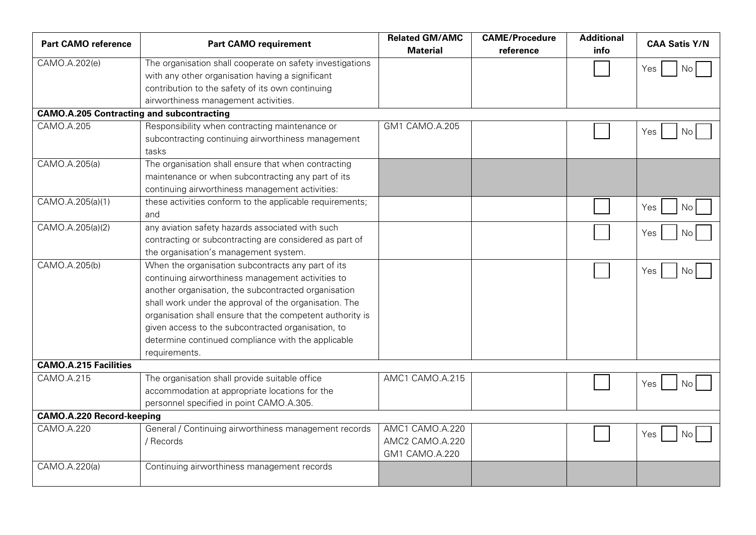| <b>Part CAMO reference</b>                       | <b>Part CAMO requirement</b>                                                                                                                                                                                                                                                                                                                                                                                        | <b>Related GM/AMC</b><br><b>Material</b>             | <b>CAME/Procedure</b><br>reference | <b>Additional</b><br>info | <b>CAA Satis Y/N</b> |
|--------------------------------------------------|---------------------------------------------------------------------------------------------------------------------------------------------------------------------------------------------------------------------------------------------------------------------------------------------------------------------------------------------------------------------------------------------------------------------|------------------------------------------------------|------------------------------------|---------------------------|----------------------|
| CAMO.A.202(e)                                    | The organisation shall cooperate on safety investigations<br>with any other organisation having a significant                                                                                                                                                                                                                                                                                                       |                                                      |                                    |                           | Yes<br>No            |
|                                                  | contribution to the safety of its own continuing<br>airworthiness management activities.                                                                                                                                                                                                                                                                                                                            |                                                      |                                    |                           |                      |
| <b>CAMO.A.205 Contracting and subcontracting</b> |                                                                                                                                                                                                                                                                                                                                                                                                                     |                                                      |                                    |                           |                      |
| CAMO.A.205                                       | Responsibility when contracting maintenance or<br>subcontracting continuing airworthiness management<br>tasks                                                                                                                                                                                                                                                                                                       | GM1 CAMO.A.205                                       |                                    |                           | Yes<br>No.           |
| CAMO.A.205(a)                                    | The organisation shall ensure that when contracting<br>maintenance or when subcontracting any part of its<br>continuing airworthiness management activities:                                                                                                                                                                                                                                                        |                                                      |                                    |                           |                      |
| CAMO.A.205(a)(1)                                 | these activities conform to the applicable requirements;<br>and                                                                                                                                                                                                                                                                                                                                                     |                                                      |                                    |                           | No<br>Yes            |
| CAMO.A.205(a)(2)                                 | any aviation safety hazards associated with such<br>contracting or subcontracting are considered as part of<br>the organisation's management system.                                                                                                                                                                                                                                                                |                                                      |                                    |                           | Yes<br>No            |
| CAMO.A.205(b)                                    | When the organisation subcontracts any part of its<br>continuing airworthiness management activities to<br>another organisation, the subcontracted organisation<br>shall work under the approval of the organisation. The<br>organisation shall ensure that the competent authority is<br>given access to the subcontracted organisation, to<br>determine continued compliance with the applicable<br>requirements. |                                                      |                                    |                           | Yes<br>No            |
| <b>CAMO.A.215 Facilities</b>                     |                                                                                                                                                                                                                                                                                                                                                                                                                     |                                                      |                                    |                           |                      |
| CAMO.A.215                                       | The organisation shall provide suitable office<br>accommodation at appropriate locations for the<br>personnel specified in point CAMO.A.305.                                                                                                                                                                                                                                                                        | AMC1 CAMO.A.215                                      |                                    |                           | Yes<br>No            |
| <b>CAMO.A.220 Record-keeping</b>                 |                                                                                                                                                                                                                                                                                                                                                                                                                     |                                                      |                                    |                           |                      |
| CAMO.A.220                                       | General / Continuing airworthiness management records<br>/ Records                                                                                                                                                                                                                                                                                                                                                  | AMC1 CAMO.A.220<br>AMC2 CAMO.A.220<br>GM1 CAMO.A.220 |                                    |                           | Yes<br>No.           |
| CAMO.A.220(a)                                    | Continuing airworthiness management records                                                                                                                                                                                                                                                                                                                                                                         |                                                      |                                    |                           |                      |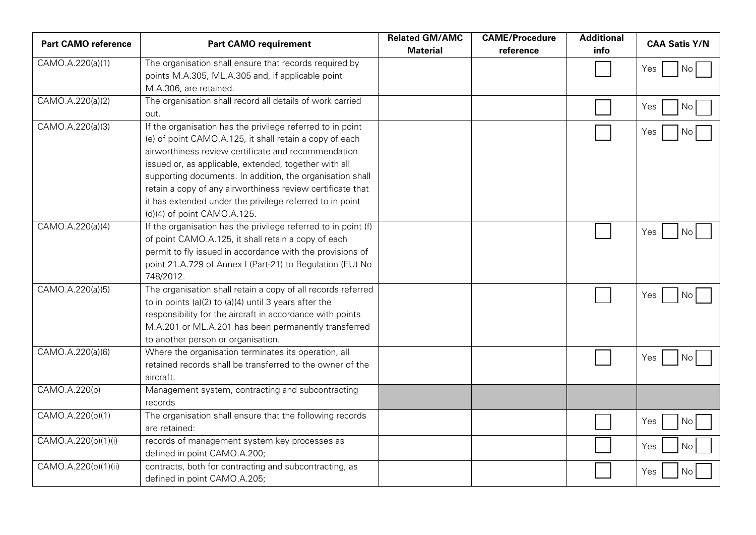| <b>Part CAMO reference</b> | <b>Part CAMO requirement</b>                                   | <b>Related GM/AMC</b><br><b>Material</b> | <b>CAME/Procedure</b><br>reference | <b>Additional</b><br>info | <b>CAA Satis Y/N</b> |
|----------------------------|----------------------------------------------------------------|------------------------------------------|------------------------------------|---------------------------|----------------------|
| CAMO.A.220(a)(1)           |                                                                |                                          |                                    |                           |                      |
|                            | The organisation shall ensure that records required by         |                                          |                                    |                           | Yes<br>No            |
|                            | points M.A.305, ML.A.305 and, if applicable point              |                                          |                                    |                           |                      |
|                            | M.A.306, are retained.                                         |                                          |                                    |                           |                      |
| CAMO.A.220(a)(2)           | The organisation shall record all details of work carried      |                                          |                                    |                           | Yes<br>No            |
|                            | out.                                                           |                                          |                                    |                           |                      |
| CAMO.A.220(a)(3)           | If the organisation has the privilege referred to in point     |                                          |                                    |                           | Yes<br>No.           |
|                            | (e) of point CAMO.A.125, it shall retain a copy of each        |                                          |                                    |                           |                      |
|                            | airworthiness review certificate and recommendation            |                                          |                                    |                           |                      |
|                            | issued or, as applicable, extended, together with all          |                                          |                                    |                           |                      |
|                            | supporting documents. In addition, the organisation shall      |                                          |                                    |                           |                      |
|                            | retain a copy of any airworthiness review certificate that     |                                          |                                    |                           |                      |
|                            | it has extended under the privilege referred to in point       |                                          |                                    |                           |                      |
|                            | (d)(4) of point CAMO.A.125.                                    |                                          |                                    |                           |                      |
| CAMO.A.220(a)(4)           | If the organisation has the privilege referred to in point (f) |                                          |                                    |                           | Yes<br>No.           |
|                            | of point CAMO.A.125, it shall retain a copy of each            |                                          |                                    |                           |                      |
|                            | permit to fly issued in accordance with the provisions of      |                                          |                                    |                           |                      |
|                            | point 21.A.729 of Annex I (Part-21) to Regulation (EU) No      |                                          |                                    |                           |                      |
|                            | 748/2012.                                                      |                                          |                                    |                           |                      |
| CAMO.A.220(a)(5)           | The organisation shall retain a copy of all records referred   |                                          |                                    |                           | Yes<br>No.           |
|                            | to in points (a)(2) to (a)(4) until 3 years after the          |                                          |                                    |                           |                      |
|                            | responsibility for the aircraft in accordance with points      |                                          |                                    |                           |                      |
|                            | M.A.201 or ML.A.201 has been permanently transferred           |                                          |                                    |                           |                      |
|                            | to another person or organisation.                             |                                          |                                    |                           |                      |
| CAMO.A.220(a)(6)           | Where the organisation terminates its operation, all           |                                          |                                    |                           | Yes<br>No.           |
|                            | retained records shall be transferred to the owner of the      |                                          |                                    |                           |                      |
|                            | aircraft.                                                      |                                          |                                    |                           |                      |
| CAMO.A.220(b)              | Management system, contracting and subcontracting              |                                          |                                    |                           |                      |
|                            | records                                                        |                                          |                                    |                           |                      |
| CAMO.A.220(b)(1)           | The organisation shall ensure that the following records       |                                          |                                    |                           |                      |
|                            | are retained:                                                  |                                          |                                    |                           | Yes<br>No            |
| CAMO.A.220(b)(1)(i)        | records of management system key processes as                  |                                          |                                    |                           | No<br>Yes            |
|                            | defined in point CAMO.A.200;                                   |                                          |                                    |                           |                      |
| CAMO.A.220(b)(1)(ii)       | contracts, both for contracting and subcontracting, as         |                                          |                                    |                           | Yes<br>No.           |
|                            | defined in point CAMO.A.205;                                   |                                          |                                    |                           |                      |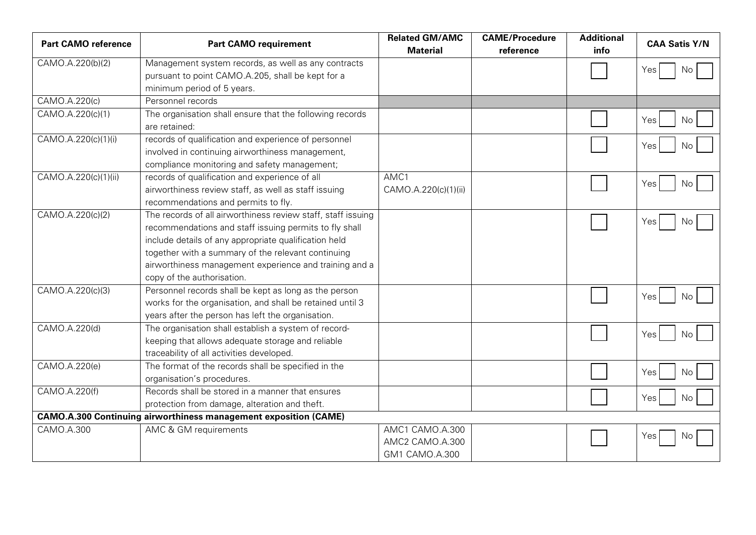| <b>Part CAMO reference</b> | <b>Part CAMO requirement</b>                                                                                                                                                                                                                                                                                                  | <b>Related GM/AMC</b><br><b>Material</b>             | <b>CAME/Procedure</b><br>reference | <b>Additional</b><br>info | <b>CAA Satis Y/N</b> |
|----------------------------|-------------------------------------------------------------------------------------------------------------------------------------------------------------------------------------------------------------------------------------------------------------------------------------------------------------------------------|------------------------------------------------------|------------------------------------|---------------------------|----------------------|
| CAMO.A.220(b)(2)           | Management system records, as well as any contracts<br>pursuant to point CAMO.A.205, shall be kept for a<br>minimum period of 5 years.                                                                                                                                                                                        |                                                      |                                    |                           | Yes<br>No            |
| CAMO.A.220(c)              | Personnel records                                                                                                                                                                                                                                                                                                             |                                                      |                                    |                           |                      |
| CAMO.A.220(c)(1)           | The organisation shall ensure that the following records<br>are retained:                                                                                                                                                                                                                                                     |                                                      |                                    |                           | Yes<br>No            |
| CAMO.A.220(c)(1)(i)        | records of qualification and experience of personnel<br>involved in continuing airworthiness management,<br>compliance monitoring and safety management;                                                                                                                                                                      |                                                      |                                    |                           | Yes<br>No            |
| CAMO.A.220(c)(1)(ii)       | records of qualification and experience of all<br>airworthiness review staff, as well as staff issuing<br>recommendations and permits to fly.                                                                                                                                                                                 | AMC1<br>CAMO.A.220(c)(1)(ii)                         |                                    |                           | Yes<br>No            |
| CAMO.A.220(c)(2)           | The records of all airworthiness review staff, staff issuing<br>recommendations and staff issuing permits to fly shall<br>include details of any appropriate qualification held<br>together with a summary of the relevant continuing<br>airworthiness management experience and training and a<br>copy of the authorisation. |                                                      |                                    |                           | Yes<br>No            |
| CAMO.A.220(c)(3)           | Personnel records shall be kept as long as the person<br>works for the organisation, and shall be retained until 3<br>years after the person has left the organisation.                                                                                                                                                       |                                                      |                                    |                           | Yes<br>No.           |
| CAMO.A.220(d)              | The organisation shall establish a system of record-<br>keeping that allows adequate storage and reliable<br>traceability of all activities developed.                                                                                                                                                                        |                                                      |                                    |                           | Yes<br>No            |
| CAMO.A.220(e)              | The format of the records shall be specified in the<br>organisation's procedures.                                                                                                                                                                                                                                             |                                                      |                                    |                           | Yes<br>No            |
| CAMO.A.220(f)              | Records shall be stored in a manner that ensures<br>protection from damage, alteration and theft.                                                                                                                                                                                                                             |                                                      |                                    |                           | Yes<br>No            |
|                            | <b>CAMO.A.300 Continuing airworthiness management exposition (CAME)</b>                                                                                                                                                                                                                                                       |                                                      |                                    |                           |                      |
| CAMO.A.300                 | AMC & GM requirements                                                                                                                                                                                                                                                                                                         | AMC1 CAMO.A.300<br>AMC2 CAMO.A.300<br>GM1 CAMO.A.300 |                                    |                           | Yes<br>No.           |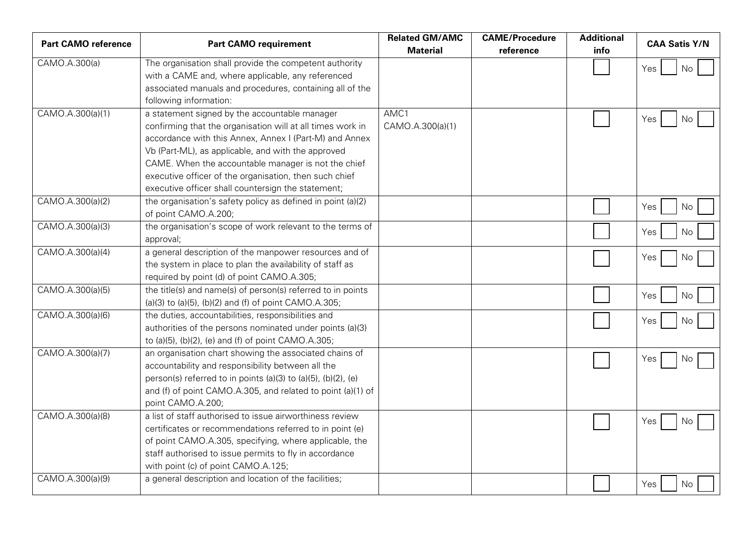| <b>Part CAMO reference</b> | <b>Part CAMO requirement</b>                                  | <b>Related GM/AMC</b> | <b>CAME/Procedure</b> | <b>Additional</b> | <b>CAA Satis Y/N</b> |
|----------------------------|---------------------------------------------------------------|-----------------------|-----------------------|-------------------|----------------------|
|                            |                                                               | <b>Material</b>       | reference             | info              |                      |
| CAMO.A.300(a)              | The organisation shall provide the competent authority        |                       |                       |                   | No<br>Yes            |
|                            | with a CAME and, where applicable, any referenced             |                       |                       |                   |                      |
|                            | associated manuals and procedures, containing all of the      |                       |                       |                   |                      |
|                            | following information:                                        |                       |                       |                   |                      |
| CAMO.A.300(a)(1)           | a statement signed by the accountable manager                 | AMC1                  |                       |                   | Yes<br>No            |
|                            | confirming that the organisation will at all times work in    | CAMO.A.300(a)(1)      |                       |                   |                      |
|                            | accordance with this Annex, Annex I (Part-M) and Annex        |                       |                       |                   |                      |
|                            | Vb (Part-ML), as applicable, and with the approved            |                       |                       |                   |                      |
|                            | CAME. When the accountable manager is not the chief           |                       |                       |                   |                      |
|                            | executive officer of the organisation, then such chief        |                       |                       |                   |                      |
|                            | executive officer shall countersign the statement;            |                       |                       |                   |                      |
| CAMO.A.300(a)(2)           | the organisation's safety policy as defined in point (a)(2)   |                       |                       |                   | Yes<br>No            |
|                            | of point CAMO.A.200;                                          |                       |                       |                   |                      |
| CAMO.A.300(a)(3)           | the organisation's scope of work relevant to the terms of     |                       |                       |                   | Yes<br>No            |
|                            | approval;                                                     |                       |                       |                   |                      |
| CAMO.A.300(a)(4)           | a general description of the manpower resources and of        |                       |                       |                   | Yes<br>No            |
|                            | the system in place to plan the availability of staff as      |                       |                       |                   |                      |
|                            | required by point (d) of point CAMO.A.305;                    |                       |                       |                   |                      |
| CAMO.A.300(a)(5)           | the title(s) and name(s) of person(s) referred to in points   |                       |                       |                   | Yes<br>No            |
|                            | (a)(3) to (a)(5), (b)(2) and (f) of point CAMO.A.305;         |                       |                       |                   |                      |
| CAMO.A.300(a)(6)           | the duties, accountabilities, responsibilities and            |                       |                       |                   | Yes<br>No            |
|                            | authorities of the persons nominated under points (a)(3)      |                       |                       |                   |                      |
|                            | to (a)(5), (b)(2), (e) and (f) of point CAMO.A.305;           |                       |                       |                   |                      |
| CAMO.A.300(a)(7)           | an organisation chart showing the associated chains of        |                       |                       |                   | Yes<br>No.           |
|                            | accountability and responsibility between all the             |                       |                       |                   |                      |
|                            | person(s) referred to in points (a)(3) to (a)(5), (b)(2), (e) |                       |                       |                   |                      |
|                            | and (f) of point CAMO.A.305, and related to point (a)(1) of   |                       |                       |                   |                      |
|                            | point CAMO.A.200;                                             |                       |                       |                   |                      |
| CAMO.A.300(a)(8)           | a list of staff authorised to issue airworthiness review      |                       |                       |                   |                      |
|                            | certificates or recommendations referred to in point (e)      |                       |                       |                   | Yes<br>No            |
|                            | of point CAMO.A.305, specifying, where applicable, the        |                       |                       |                   |                      |
|                            | staff authorised to issue permits to fly in accordance        |                       |                       |                   |                      |
|                            | with point (c) of point CAMO.A.125;                           |                       |                       |                   |                      |
| CAMO.A.300(a)(9)           | a general description and location of the facilities;         |                       |                       |                   |                      |
|                            |                                                               |                       |                       |                   | Yes<br>No            |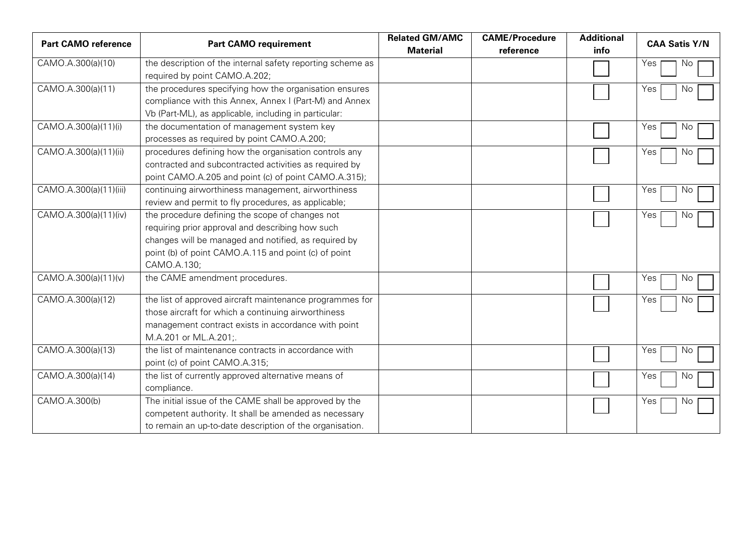| <b>Part CAMO reference</b> | <b>Part CAMO requirement</b>                               | <b>Related GM/AMC</b><br><b>Material</b> | <b>CAME/Procedure</b><br>reference | <b>Additional</b><br>info | <b>CAA Satis Y/N</b> |
|----------------------------|------------------------------------------------------------|------------------------------------------|------------------------------------|---------------------------|----------------------|
|                            |                                                            |                                          |                                    |                           |                      |
| CAMO.A.300(a)(10)          | the description of the internal safety reporting scheme as |                                          |                                    |                           | Yes<br>No            |
|                            | required by point CAMO.A.202;                              |                                          |                                    |                           |                      |
| CAMO.A.300(a)(11)          | the procedures specifying how the organisation ensures     |                                          |                                    |                           | Yes<br>No.           |
|                            | compliance with this Annex, Annex I (Part-M) and Annex     |                                          |                                    |                           |                      |
|                            | Vb (Part-ML), as applicable, including in particular:      |                                          |                                    |                           |                      |
| CAMO.A.300(a)(11)(i)       | the documentation of management system key                 |                                          |                                    |                           | Yes<br>NO.           |
|                            | processes as required by point CAMO.A.200;                 |                                          |                                    |                           |                      |
| CAMO.A.300(a)(11)(ii)      | procedures defining how the organisation controls any      |                                          |                                    |                           | Yes<br>No.           |
|                            | contracted and subcontracted activities as required by     |                                          |                                    |                           |                      |
|                            | point CAMO.A.205 and point (c) of point CAMO.A.315);       |                                          |                                    |                           |                      |
| CAMO.A.300(a)(11)(iii)     | continuing airworthiness management, airworthiness         |                                          |                                    |                           | Yes<br>No            |
|                            | review and permit to fly procedures, as applicable;        |                                          |                                    |                           |                      |
| CAMO.A.300(a)(11)(iv)      | the procedure defining the scope of changes not            |                                          |                                    |                           | Yes<br>Νo            |
|                            | requiring prior approval and describing how such           |                                          |                                    |                           |                      |
|                            | changes will be managed and notified, as required by       |                                          |                                    |                           |                      |
|                            | point (b) of point CAMO.A.115 and point (c) of point       |                                          |                                    |                           |                      |
|                            | CAMO.A.130;                                                |                                          |                                    |                           |                      |
| CAMO.A.300(a)(11)(v)       | the CAME amendment procedures.                             |                                          |                                    |                           | Yes<br>Νo            |
|                            |                                                            |                                          |                                    |                           |                      |
| CAMO.A.300(a)(12)          | the list of approved aircraft maintenance programmes for   |                                          |                                    |                           | Yes<br>No            |
|                            | those aircraft for which a continuing airworthiness        |                                          |                                    |                           |                      |
|                            | management contract exists in accordance with point        |                                          |                                    |                           |                      |
|                            | M.A.201 or ML.A.201;.                                      |                                          |                                    |                           |                      |
| CAMO.A.300(a)(13)          | the list of maintenance contracts in accordance with       |                                          |                                    |                           | Yes<br>Νo            |
|                            | point (c) of point CAMO.A.315;                             |                                          |                                    |                           |                      |
| CAMO.A.300(a)(14)          | the list of currently approved alternative means of        |                                          |                                    |                           | Yes<br>No            |
|                            | compliance.                                                |                                          |                                    |                           |                      |
| CAMO.A.300(b)              | The initial issue of the CAME shall be approved by the     |                                          |                                    |                           | Yes<br>No.           |
|                            | competent authority. It shall be amended as necessary      |                                          |                                    |                           |                      |
|                            | to remain an up-to-date description of the organisation.   |                                          |                                    |                           |                      |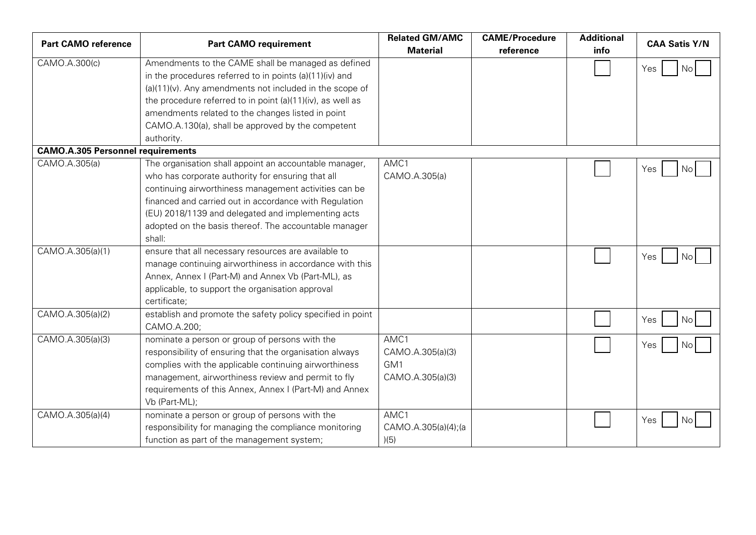| <b>Part CAMO reference</b>               | <b>Part CAMO requirement</b>                                                                                                                                                                                                                                                                                                                                      | <b>Related GM/AMC</b><br><b>Material</b>            | <b>CAME/Procedure</b><br>reference | <b>Additional</b><br>info | <b>CAA Satis Y/N</b> |
|------------------------------------------|-------------------------------------------------------------------------------------------------------------------------------------------------------------------------------------------------------------------------------------------------------------------------------------------------------------------------------------------------------------------|-----------------------------------------------------|------------------------------------|---------------------------|----------------------|
| CAMO.A.300(c)                            | Amendments to the CAME shall be managed as defined<br>in the procedures referred to in points (a)(11)(iv) and<br>$(a)(11)(v)$ . Any amendments not included in the scope of<br>the procedure referred to in point (a)(11)(iv), as well as<br>amendments related to the changes listed in point<br>CAMO.A.130(a), shall be approved by the competent<br>authority. |                                                     |                                    |                           | <b>No</b><br>Yes     |
| <b>CAMO.A.305 Personnel requirements</b> |                                                                                                                                                                                                                                                                                                                                                                   |                                                     |                                    |                           |                      |
| CAMO.A.305(a)                            | The organisation shall appoint an accountable manager,<br>who has corporate authority for ensuring that all<br>continuing airworthiness management activities can be<br>financed and carried out in accordance with Regulation<br>(EU) 2018/1139 and delegated and implementing acts<br>adopted on the basis thereof. The accountable manager<br>shall:           | AMC1<br>CAMO.A.305(a)                               |                                    |                           | Yes<br>No            |
| CAMO.A.305(a)(1)                         | ensure that all necessary resources are available to<br>manage continuing airworthiness in accordance with this<br>Annex, Annex I (Part-M) and Annex Vb (Part-ML), as<br>applicable, to support the organisation approval<br>certificate;                                                                                                                         |                                                     |                                    |                           | Yes<br>No.           |
| CAMO.A.305(a)(2)                         | establish and promote the safety policy specified in point<br>CAMO.A.200;                                                                                                                                                                                                                                                                                         |                                                     |                                    |                           | Yes<br>No            |
| CAMO.A.305(a)(3)                         | nominate a person or group of persons with the<br>responsibility of ensuring that the organisation always<br>complies with the applicable continuing airworthiness<br>management, airworthiness review and permit to fly<br>requirements of this Annex, Annex I (Part-M) and Annex<br>Vb (Part-ML);                                                               | AMC1<br>CAMO.A.305(a)(3)<br>GM1<br>CAMO.A.305(a)(3) |                                    |                           | Yes<br>No.           |
| CAMO.A.305(a)(4)                         | nominate a person or group of persons with the<br>responsibility for managing the compliance monitoring<br>function as part of the management system;                                                                                                                                                                                                             | AMC1<br>CAMO.A.305(a)(4);(a<br>)(5)                 |                                    |                           | Yes<br>No.           |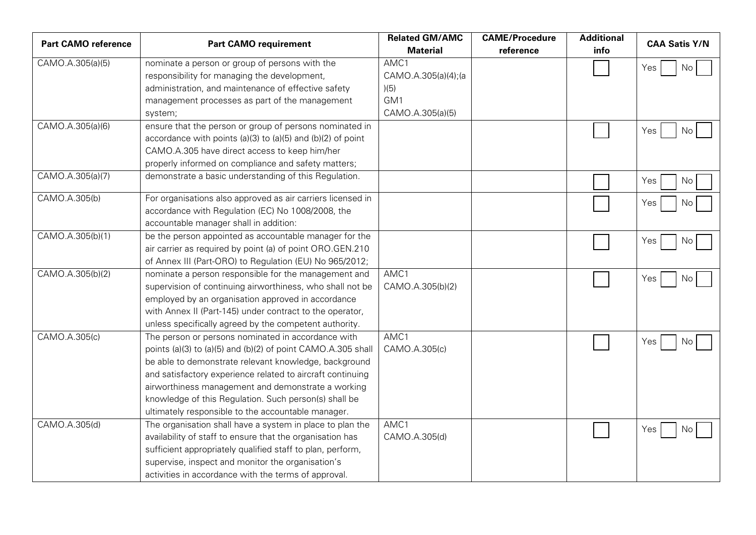| <b>Part CAMO reference</b> | <b>Part CAMO requirement</b>                                 | <b>Related GM/AMC</b> | <b>CAME/Procedure</b> | <b>Additional</b> | <b>CAA Satis Y/N</b> |
|----------------------------|--------------------------------------------------------------|-----------------------|-----------------------|-------------------|----------------------|
|                            |                                                              | <b>Material</b>       | reference             | info              |                      |
| CAMO.A.305(a)(5)           | nominate a person or group of persons with the               | AMC1                  |                       |                   | No<br>Yes            |
|                            | responsibility for managing the development,                 | CAMO.A.305(a)(4);(a   |                       |                   |                      |
|                            | administration, and maintenance of effective safety          | )(5)                  |                       |                   |                      |
|                            | management processes as part of the management               | GM <sub>1</sub>       |                       |                   |                      |
|                            | system;                                                      | CAMO.A.305(a)(5)      |                       |                   |                      |
| CAMO.A.305(a)(6)           | ensure that the person or group of persons nominated in      |                       |                       |                   | Yes<br>No            |
|                            | accordance with points (a)(3) to (a)(5) and (b)(2) of point  |                       |                       |                   |                      |
|                            | CAMO.A.305 have direct access to keep him/her                |                       |                       |                   |                      |
|                            | properly informed on compliance and safety matters;          |                       |                       |                   |                      |
| CAMO.A.305(a)(7)           | demonstrate a basic understanding of this Regulation.        |                       |                       |                   | Yes<br>No            |
| CAMO.A.305(b)              | For organisations also approved as air carriers licensed in  |                       |                       |                   | Yes<br>No            |
|                            | accordance with Regulation (EC) No 1008/2008, the            |                       |                       |                   |                      |
|                            | accountable manager shall in addition:                       |                       |                       |                   |                      |
| CAMO.A.305(b)(1)           | be the person appointed as accountable manager for the       |                       |                       |                   | Yes<br>No            |
|                            | air carrier as required by point (a) of point ORO.GEN.210    |                       |                       |                   |                      |
|                            | of Annex III (Part-ORO) to Regulation (EU) No 965/2012;      |                       |                       |                   |                      |
| CAMO.A.305(b)(2)           | nominate a person responsible for the management and         | AMC1                  |                       |                   | Yes<br>No            |
|                            | supervision of continuing airworthiness, who shall not be    | CAMO.A.305(b)(2)      |                       |                   |                      |
|                            | employed by an organisation approved in accordance           |                       |                       |                   |                      |
|                            | with Annex II (Part-145) under contract to the operator,     |                       |                       |                   |                      |
|                            | unless specifically agreed by the competent authority.       |                       |                       |                   |                      |
| CAMO.A.305(c)              | The person or persons nominated in accordance with           | AMC1                  |                       |                   | Yes<br>No            |
|                            | points (a)(3) to (a)(5) and (b)(2) of point CAMO.A.305 shall | CAMO.A.305(c)         |                       |                   |                      |
|                            | be able to demonstrate relevant knowledge, background        |                       |                       |                   |                      |
|                            | and satisfactory experience related to aircraft continuing   |                       |                       |                   |                      |
|                            | airworthiness management and demonstrate a working           |                       |                       |                   |                      |
|                            | knowledge of this Regulation. Such person(s) shall be        |                       |                       |                   |                      |
|                            | ultimately responsible to the accountable manager.           |                       |                       |                   |                      |
| CAMO.A.305(d)              | The organisation shall have a system in place to plan the    | AMC1                  |                       |                   | Yes<br>No.           |
|                            | availability of staff to ensure that the organisation has    | CAMO.A.305(d)         |                       |                   |                      |
|                            | sufficient appropriately qualified staff to plan, perform,   |                       |                       |                   |                      |
|                            | supervise, inspect and monitor the organisation's            |                       |                       |                   |                      |
|                            | activities in accordance with the terms of approval.         |                       |                       |                   |                      |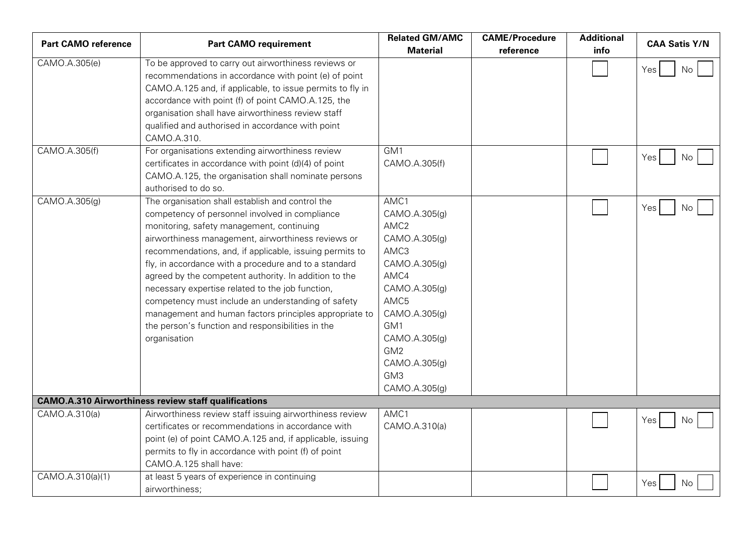| <b>Part CAMO reference</b> | <b>Part CAMO requirement</b>                                                                                                                                                                                                                                                                                                                                                                                                                                                                                                                                                                                                | <b>Related GM/AMC</b><br><b>Material</b>                                                                                                                                                                                  | <b>CAME/Procedure</b><br>reference | <b>Additional</b><br>info | <b>CAA Satis Y/N</b> |
|----------------------------|-----------------------------------------------------------------------------------------------------------------------------------------------------------------------------------------------------------------------------------------------------------------------------------------------------------------------------------------------------------------------------------------------------------------------------------------------------------------------------------------------------------------------------------------------------------------------------------------------------------------------------|---------------------------------------------------------------------------------------------------------------------------------------------------------------------------------------------------------------------------|------------------------------------|---------------------------|----------------------|
| CAMO.A.305(e)              | To be approved to carry out airworthiness reviews or<br>recommendations in accordance with point (e) of point<br>CAMO.A.125 and, if applicable, to issue permits to fly in<br>accordance with point (f) of point CAMO.A.125, the<br>organisation shall have airworthiness review staff<br>qualified and authorised in accordance with point<br>CAMO.A.310.                                                                                                                                                                                                                                                                  |                                                                                                                                                                                                                           |                                    |                           | Yes<br>No            |
| CAMO.A.305(f)              | For organisations extending airworthiness review<br>certificates in accordance with point (d)(4) of point<br>CAMO.A.125, the organisation shall nominate persons<br>authorised to do so.                                                                                                                                                                                                                                                                                                                                                                                                                                    | GM1<br>CAMO.A.305(f)                                                                                                                                                                                                      |                                    |                           | Yes<br>No.           |
| CAMO.A.305(g)              | The organisation shall establish and control the<br>competency of personnel involved in compliance<br>monitoring, safety management, continuing<br>airworthiness management, airworthiness reviews or<br>recommendations, and, if applicable, issuing permits to<br>fly, in accordance with a procedure and to a standard<br>agreed by the competent authority. In addition to the<br>necessary expertise related to the job function,<br>competency must include an understanding of safety<br>management and human factors principles appropriate to<br>the person's function and responsibilities in the<br>organisation | AMC1<br>CAMO.A.305(g)<br>AMC <sub>2</sub><br>CAMO.A.305(g)<br>AMC3<br>CAMO.A.305(g)<br>AMC4<br>CAMO.A.305(g)<br>AMC5<br>CAMO.A.305(g)<br>GM1<br>CAMO.A.305(g)<br>GM <sub>2</sub><br>CAMO.A.305(g)<br>GM3<br>CAMO.A.305(g) |                                    |                           | Yes<br>No.           |
|                            | <b>CAMO.A.310 Airworthiness review staff qualifications</b>                                                                                                                                                                                                                                                                                                                                                                                                                                                                                                                                                                 |                                                                                                                                                                                                                           |                                    |                           |                      |
| CAMO.A.310(a)              | Airworthiness review staff issuing airworthiness review<br>certificates or recommendations in accordance with<br>point (e) of point CAMO.A.125 and, if applicable, issuing<br>permits to fly in accordance with point (f) of point<br>CAMO.A.125 shall have:                                                                                                                                                                                                                                                                                                                                                                | AMC1<br>CAMO.A.310(a)                                                                                                                                                                                                     |                                    |                           | Yes<br>No.           |
| CAMO.A.310(a)(1)           | at least 5 years of experience in continuing<br>airworthiness;                                                                                                                                                                                                                                                                                                                                                                                                                                                                                                                                                              |                                                                                                                                                                                                                           |                                    |                           | Yes<br>No.           |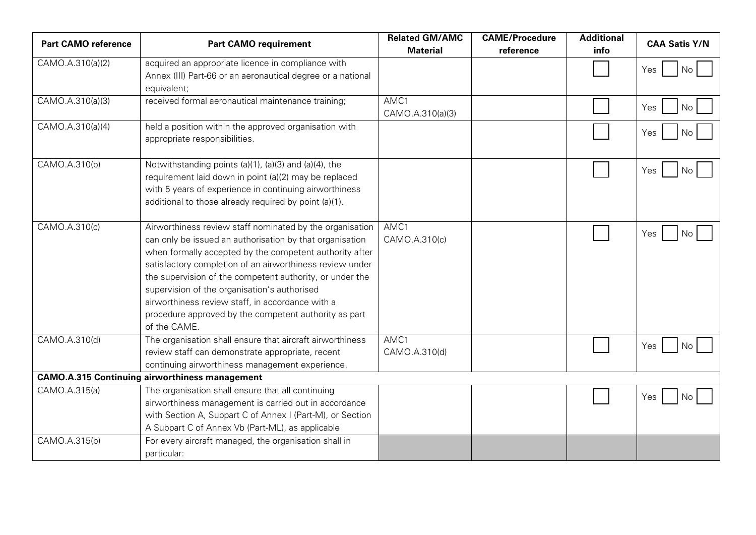| <b>Part CAMO reference</b> | <b>Part CAMO requirement</b>                                                           | <b>Related GM/AMC</b><br><b>Material</b> | <b>CAME/Procedure</b><br>reference | <b>Additional</b><br>info | <b>CAA Satis Y/N</b> |
|----------------------------|----------------------------------------------------------------------------------------|------------------------------------------|------------------------------------|---------------------------|----------------------|
| CAMO.A.310(a)(2)           | acquired an appropriate licence in compliance with                                     |                                          |                                    |                           | Yes<br>No            |
|                            | Annex (III) Part-66 or an aeronautical degree or a national                            |                                          |                                    |                           |                      |
|                            | equivalent;                                                                            |                                          |                                    |                           |                      |
| CAMO.A.310(a)(3)           | received formal aeronautical maintenance training;                                     | AMC1<br>CAMO.A.310(a)(3)                 |                                    |                           | Yes<br>No            |
| CAMO.A.310(a)(4)           | held a position within the approved organisation with<br>appropriate responsibilities. |                                          |                                    |                           | Yes<br>No            |
| CAMO.A.310(b)              | Notwithstanding points (a)(1), (a)(3) and (a)(4), the                                  |                                          |                                    |                           | Yes<br>No.           |
|                            | requirement laid down in point (a)(2) may be replaced                                  |                                          |                                    |                           |                      |
|                            | with 5 years of experience in continuing airworthiness                                 |                                          |                                    |                           |                      |
|                            | additional to those already required by point (a)(1).                                  |                                          |                                    |                           |                      |
| CAMO.A.310(c)              | Airworthiness review staff nominated by the organisation                               | AMC1                                     |                                    |                           |                      |
|                            | can only be issued an authorisation by that organisation                               | CAMO.A.310(c)                            |                                    |                           | Yes<br>No.           |
|                            | when formally accepted by the competent authority after                                |                                          |                                    |                           |                      |
|                            | satisfactory completion of an airworthiness review under                               |                                          |                                    |                           |                      |
|                            | the supervision of the competent authority, or under the                               |                                          |                                    |                           |                      |
|                            | supervision of the organisation's authorised                                           |                                          |                                    |                           |                      |
|                            | airworthiness review staff, in accordance with a                                       |                                          |                                    |                           |                      |
|                            | procedure approved by the competent authority as part                                  |                                          |                                    |                           |                      |
|                            | of the CAME.                                                                           |                                          |                                    |                           |                      |
| CAMO.A.310(d)              | The organisation shall ensure that aircraft airworthiness                              | AMC1                                     |                                    |                           | Yes<br>No            |
|                            | review staff can demonstrate appropriate, recent                                       | CAMO.A.310(d)                            |                                    |                           |                      |
|                            | continuing airworthiness management experience.                                        |                                          |                                    |                           |                      |
|                            | <b>CAMO.A.315 Continuing airworthiness management</b>                                  |                                          |                                    |                           |                      |
| CAMO.A.315(a)              | The organisation shall ensure that all continuing                                      |                                          |                                    |                           | Yes<br>No            |
|                            | airworthiness management is carried out in accordance                                  |                                          |                                    |                           |                      |
|                            | with Section A, Subpart C of Annex I (Part-M), or Section                              |                                          |                                    |                           |                      |
|                            | A Subpart C of Annex Vb (Part-ML), as applicable                                       |                                          |                                    |                           |                      |
| CAMO.A.315(b)              | For every aircraft managed, the organisation shall in                                  |                                          |                                    |                           |                      |
|                            | particular:                                                                            |                                          |                                    |                           |                      |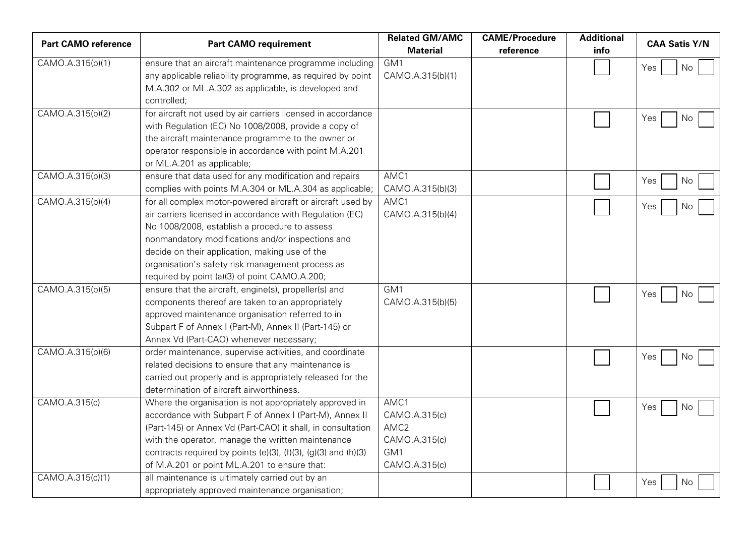| <b>Part CAMO reference</b> | <b>Part CAMO requirement</b>                                                                                                                                                                                                                                                                                                                                                        | <b>Related GM/AMC</b><br><b>Material</b>                                           | <b>CAME/Procedure</b><br>reference | <b>Additional</b><br>info | <b>CAA Satis Y/N</b> |
|----------------------------|-------------------------------------------------------------------------------------------------------------------------------------------------------------------------------------------------------------------------------------------------------------------------------------------------------------------------------------------------------------------------------------|------------------------------------------------------------------------------------|------------------------------------|---------------------------|----------------------|
| CAMO.A.315(b)(1)           | ensure that an aircraft maintenance programme including<br>any applicable reliability programme, as required by point<br>M.A.302 or ML.A.302 as applicable, is developed and                                                                                                                                                                                                        | GM1<br>CAMO.A.315(b)(1)                                                            |                                    |                           | No<br>Yes            |
|                            | controlled;                                                                                                                                                                                                                                                                                                                                                                         |                                                                                    |                                    |                           |                      |
| CAMO.A.315(b)(2)           | for aircraft not used by air carriers licensed in accordance<br>with Regulation (EC) No 1008/2008, provide a copy of<br>the aircraft maintenance programme to the owner or<br>operator responsible in accordance with point M.A.201<br>or ML.A.201 as applicable;                                                                                                                   |                                                                                    |                                    |                           | Yes<br>No.           |
| CAMO.A.315(b)(3)           | ensure that data used for any modification and repairs                                                                                                                                                                                                                                                                                                                              | AMC1                                                                               |                                    |                           | Yes<br>No            |
|                            | complies with points M.A.304 or ML.A.304 as applicable;                                                                                                                                                                                                                                                                                                                             | CAMO.A.315(b)(3)                                                                   |                                    |                           |                      |
| CAMO.A.315(b)(4)           | for all complex motor-powered aircraft or aircraft used by<br>air carriers licensed in accordance with Regulation (EC)<br>No 1008/2008, establish a procedure to assess<br>nonmandatory modifications and/or inspections and<br>decide on their application, making use of the<br>organisation's safety risk management process as<br>required by point (a)(3) of point CAMO.A.200; | AMC1<br>CAMO.A.315(b)(4)                                                           |                                    |                           | Yes<br>No.           |
| CAMO.A.315(b)(5)           | ensure that the aircraft, engine(s), propeller(s) and<br>components thereof are taken to an appropriately<br>approved maintenance organisation referred to in<br>Subpart F of Annex I (Part-M), Annex II (Part-145) or<br>Annex Vd (Part-CAO) whenever necessary;                                                                                                                   | GM1<br>CAMO.A.315(b)(5)                                                            |                                    |                           | Yes<br>No.           |
| CAMO.A.315(b)(6)           | order maintenance, supervise activities, and coordinate<br>related decisions to ensure that any maintenance is<br>carried out properly and is appropriately released for the<br>determination of aircraft airworthiness.                                                                                                                                                            |                                                                                    |                                    |                           | Yes<br>No.           |
| CAMO.A.315(c)              | Where the organisation is not appropriately approved in<br>accordance with Subpart F of Annex I (Part-M), Annex II<br>(Part-145) or Annex Vd (Part-CAO) it shall, in consultation<br>with the operator, manage the written maintenance<br>contracts required by points (e)(3), (f)(3), (g)(3) and (h)(3)<br>of M.A.201 or point ML.A.201 to ensure that:                            | AMC1<br>CAMO.A.315(c)<br>AMC <sub>2</sub><br>CAMO.A.315(c)<br>GM1<br>CAMO.A.315(c) |                                    |                           | Yes<br>No.           |
| CAMO.A.315(c)(1)           | all maintenance is ultimately carried out by an<br>appropriately approved maintenance organisation;                                                                                                                                                                                                                                                                                 |                                                                                    |                                    |                           | No<br>Yes            |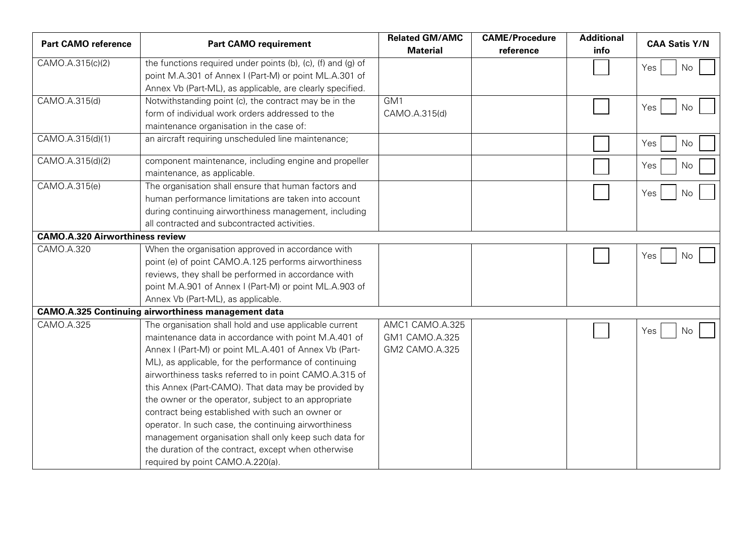| <b>Part CAMO reference</b>             | <b>Part CAMO requirement</b>                                 | <b>Related GM/AMC</b><br><b>Material</b> | <b>CAME/Procedure</b><br>reference | <b>Additional</b><br>info | <b>CAA Satis Y/N</b> |
|----------------------------------------|--------------------------------------------------------------|------------------------------------------|------------------------------------|---------------------------|----------------------|
| CAMO.A.315(c)(2)                       | the functions required under points (b), (c), (f) and (g) of |                                          |                                    |                           | Yes<br>No            |
|                                        | point M.A.301 of Annex I (Part-M) or point ML.A.301 of       |                                          |                                    |                           |                      |
|                                        | Annex Vb (Part-ML), as applicable, are clearly specified.    |                                          |                                    |                           |                      |
| CAMO.A.315(d)                          | Notwithstanding point (c), the contract may be in the        | GM1                                      |                                    |                           | No<br>Yes            |
|                                        | form of individual work orders addressed to the              | CAMO.A.315(d)                            |                                    |                           |                      |
|                                        | maintenance organisation in the case of:                     |                                          |                                    |                           |                      |
| CAMO.A.315(d)(1)                       | an aircraft requiring unscheduled line maintenance;          |                                          |                                    |                           | Yes<br>No            |
| CAMO.A.315(d)(2)                       | component maintenance, including engine and propeller        |                                          |                                    |                           | Yes<br>No            |
|                                        | maintenance, as applicable.                                  |                                          |                                    |                           |                      |
| CAMO.A.315(e)                          | The organisation shall ensure that human factors and         |                                          |                                    |                           |                      |
|                                        | human performance limitations are taken into account         |                                          |                                    |                           | Yes<br>No            |
|                                        | during continuing airworthiness management, including        |                                          |                                    |                           |                      |
|                                        | all contracted and subcontracted activities.                 |                                          |                                    |                           |                      |
| <b>CAMO.A.320 Airworthiness review</b> |                                                              |                                          |                                    |                           |                      |
| CAMO.A.320                             | When the organisation approved in accordance with            |                                          |                                    |                           | Yes<br>No            |
|                                        | point (e) of point CAMO.A.125 performs airworthiness         |                                          |                                    |                           |                      |
|                                        | reviews, they shall be performed in accordance with          |                                          |                                    |                           |                      |
|                                        | point M.A.901 of Annex I (Part-M) or point ML.A.903 of       |                                          |                                    |                           |                      |
|                                        | Annex Vb (Part-ML), as applicable.                           |                                          |                                    |                           |                      |
|                                        | <b>CAMO.A.325 Continuing airworthiness management data</b>   |                                          |                                    |                           |                      |
| CAMO.A.325                             | The organisation shall hold and use applicable current       | AMC1 CAMO.A.325                          |                                    |                           | Yes<br>No            |
|                                        | maintenance data in accordance with point M.A.401 of         | GM1 CAMO.A.325                           |                                    |                           |                      |
|                                        | Annex I (Part-M) or point ML.A.401 of Annex Vb (Part-        | GM2 CAMO.A.325                           |                                    |                           |                      |
|                                        | ML), as applicable, for the performance of continuing        |                                          |                                    |                           |                      |
|                                        | airworthiness tasks referred to in point CAMO.A.315 of       |                                          |                                    |                           |                      |
|                                        | this Annex (Part-CAMO). That data may be provided by         |                                          |                                    |                           |                      |
|                                        | the owner or the operator, subject to an appropriate         |                                          |                                    |                           |                      |
|                                        | contract being established with such an owner or             |                                          |                                    |                           |                      |
|                                        | operator. In such case, the continuing airworthiness         |                                          |                                    |                           |                      |
|                                        | management organisation shall only keep such data for        |                                          |                                    |                           |                      |
|                                        | the duration of the contract, except when otherwise          |                                          |                                    |                           |                      |
|                                        | required by point CAMO.A.220(a).                             |                                          |                                    |                           |                      |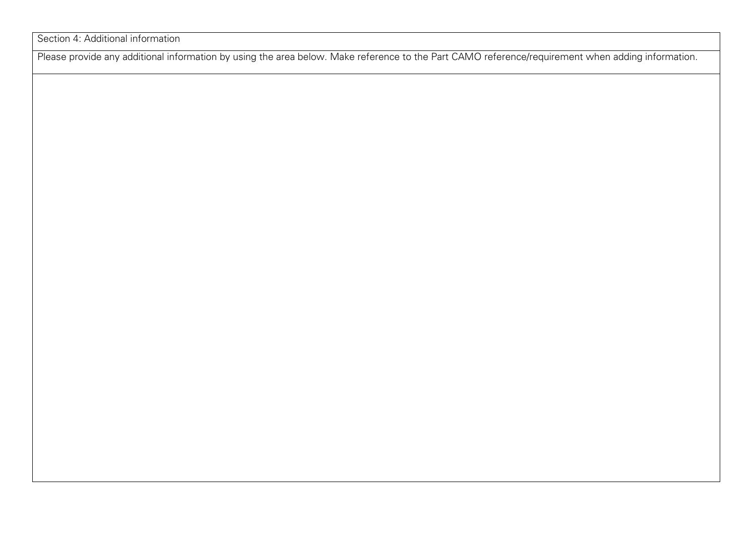Section 4: Additional information

Please provide any additional information by using the area below. Make reference to the Part CAMO reference/requirement when adding information.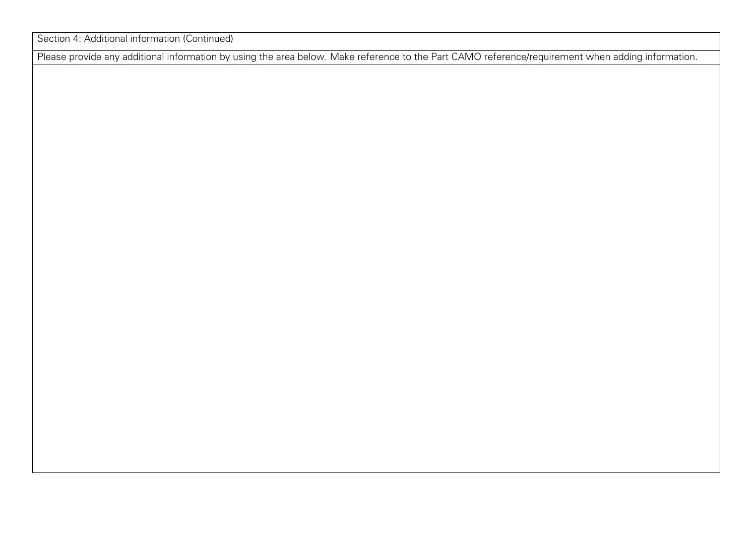Section 4: Additional information (Continued)

Please provide any additional information by using the area below. Make reference to the Part CAMO reference/requirement when adding information.